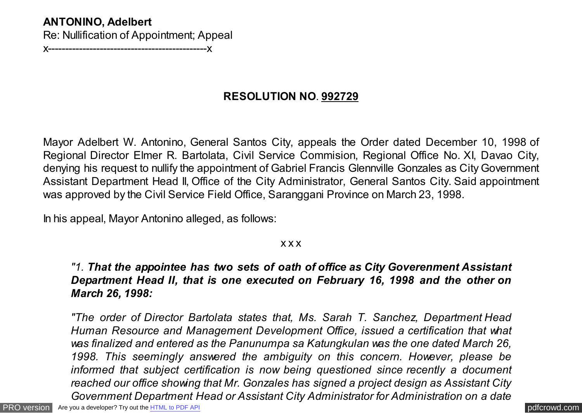## **ANTONINO, Adelbert**

Re: Nullification of Appointment; Appeal

x----------------------------------------------x

# **RESOLUTION NO**. **992729**

Mayor Adelbert W. Antonino, General Santos City, appeals the Order dated December 10, 1998 of Regional Director Elmer R. Bartolata, Civil Service Commision, Regional Office No. XI, Davao City, denying his request to nullify the appointment of Gabriel Francis Glennville Gonzales as City Government Assistant Department Head II, Office of the City Administrator, General Santos City. Said appointment was approved by the Civil Service Field Office, Saranggani Province on March 23, 1998.

In his appeal, Mayor Antonino alleged, as follows:

#### x x x

*"1. That the appointee has two sets of oath of office as City Goverenment Assistant Department Head II, that is one executed on February 16, 1998 and the other on March 26, 1998:*

*"The order of Director Bartolata states that, Ms. Sarah T. Sanchez, Department Head Human Resource and Management Development Office, issued a certification that what was finalized and entered as the Panunumpa sa Katungkulan was the one dated March 26, 1998. This seemingly answered the ambiguity on this concern. However, please be informed that subject certification is now being questioned since recently a document reached our office showing that Mr. Gonzales has signed a project design as Assistant City Government Department Head or Assistant City Administrator for Administration on a date*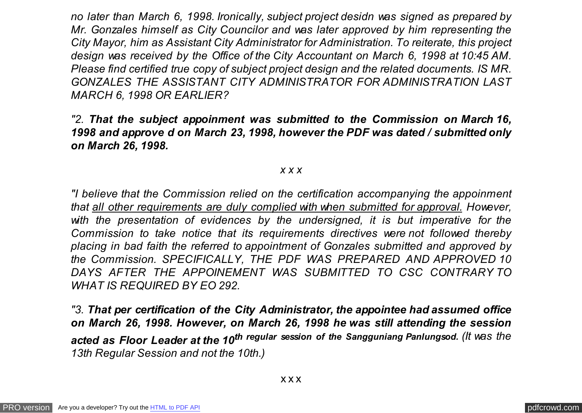*no later than March 6, 1998. Ironically, subject project desidn was signed as prepared by Mr. Gonzales himself as City Councilor and was later approved by him representing the City Mayor, him as Assistant City Administrator for Administration. To reiterate, this project design was received by the Office of the City Accountant on March 6, 1998 at 10:45 AM. Please find certified true copy of subject project design and the related documents. IS MR. GONZALES THE ASSISTANT CITY ADMINISTRATOR FOR ADMINISTRATION LAST MARCH 6, 1998 OR EARLIER?*

### *"2. That the subject appoinment was submitted to the Commission on March 16, 1998 and approve d on March 23, 1998, however the PDF was dated / submitted only on March 26, 1998.*

#### *x x x*

*"I believe that the Commission relied on the certification accompanying the appoinment that all other requirements are duly complied with when submitted for approval. However, with the presentation of evidences by the undersigned, it is but imperative for the Commission to take notice that its requirements directives were not followed thereby placing in bad faith the referred to appointment of Gonzales submitted and approved by the Commission. SPECIFICALLY, THE PDF WAS PREPARED AND APPROVED 10 DAYS AFTER THE APPOINEMENT WAS SUBMITTED TO CSC CONTRARY TO WHAT IS REQUIRED BY EO 292.*

*"3. That per certification of the City Administrator, the appointee had assumed office on March 26, 1998. However, on March 26, 1998 he was still attending the session acted as Floor Leader at the 10th regular session of the Sangguniang Panlungsod. (It was the 13th Regular Session and not the 10th.)*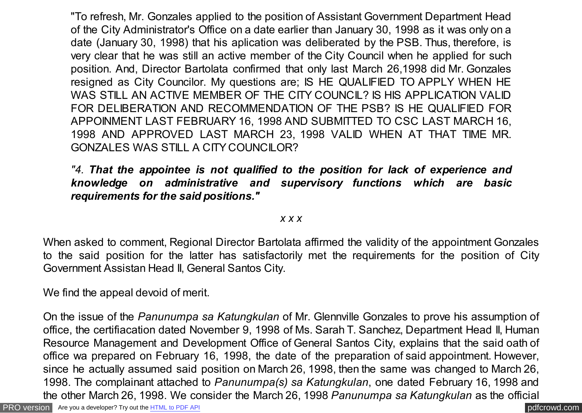"To refresh, Mr. Gonzales applied to the position of Assistant Government Department Head of the City Administrator's Office on a date earlier than January 30, 1998 as it was only on a date (January 30, 1998) that his aplication was deliberated by the PSB. Thus, therefore, is very clear that he was still an active member of the City Council when he applied for such position. And, Director Bartolata confirmed that only last March 26,1998 did Mr. Gonzales resigned as City Councilor. My questions are; IS HE QUALIFIED TO APPLY WHEN HE WAS STILL AN ACTIVE MEMBER OF THE CITY COUNCIL? IS HIS APPLICATION VALID FOR DELIBERATION AND RECOMMENDATION OF THE PSB? IS HE QUALIFIED FOR APPOINMENT LAST FEBRUARY 16, 1998 AND SUBMITTED TO CSC LAST MARCH 16, 1998 AND APPROVED LAST MARCH 23, 1998 VALID WHEN AT THAT TIME MR. GONZALES WAS STILL A CITY COUNCILOR?

## *"4. That the appointee is not qualified to the position for lack of experience and knowledge on administrative and supervisory functions which are basic requirements for the said positions."*

#### *x x x*

When asked to comment, Regional Director Bartolata affirmed the validity of the appointment Gonzales to the said position for the latter has satisfactorily met the requirements for the position of City Government Assistan Head II, General Santos City.

We find the appeal devoid of merit.

On the issue of the *Panunumpa sa Katungkulan* of Mr. Glennville Gonzales to prove his assumption of office, the certifiacation dated November 9, 1998 of Ms. Sarah T. Sanchez, Department Head II, Human Resource Management and Development Office of General Santos City, explains that the said oath of office wa prepared on February 16, 1998, the date of the preparation of said appointment. However, since he actually assumed said position on March 26, 1998, then the same was changed to March 26, 1998. The complainant attached to *Panunumpa(s) sa Katungkulan*, one dated February 16, 1998 and the other March 26, 1998. We consider the March 26, 1998 *Panunumpa sa Katungkulan* as the official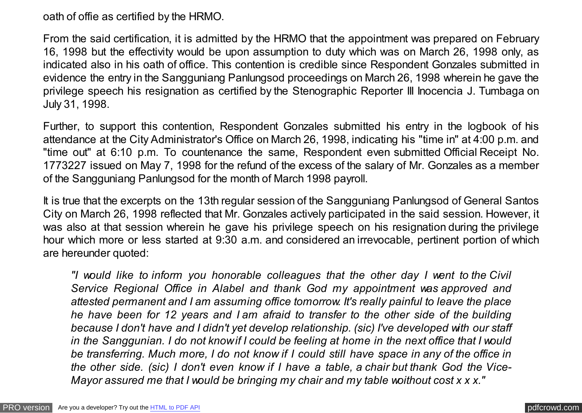oath of offie as certified by the HRMO.

From the said certification, it is admitted by the HRMO that the appointment was prepared on February 16, 1998 but the effectivity would be upon assumption to duty which was on March 26, 1998 only, as indicated also in his oath of office. This contention is credible since Respondent Gonzales submitted in evidence the entry in the Sangguniang Panlungsod proceedings on March 26, 1998 wherein he gave the privilege speech his resignation as certified by the Stenographic Reporter III Inocencia J. Tumbaga on July 31, 1998.

Further, to support this contention, Respondent Gonzales submitted his entry in the logbook of his attendance at the City Administrator's Office on March 26, 1998, indicating his "time in" at 4:00 p.m. and "time out" at 6:10 p.m. To countenance the same, Respondent even submitted Official Receipt No. 1773227 issued on May 7, 1998 for the refund of the excess of the salary of Mr. Gonzales as a member of the Sangguniang Panlungsod for the month of March 1998 payroll.

It is true that the excerpts on the 13th regular session of the Sangguniang Panlungsod of General Santos City on March 26, 1998 reflected that Mr. Gonzales actively participated in the said session. However, it was also at that session wherein he gave his privilege speech on his resignation during the privilege hour which more or less started at 9:30 a.m. and considered an irrevocable, pertinent portion of which are hereunder quoted:

*"I would like to inform you honorable colleagues that the other day I went to the Civil Service Regional Office in Alabel and thank God my appointment was approved and attested permanent and I am assuming office tomorrow. It's really painful to leave the place he have been for 12 years and I am afraid to transfer to the other side of the building because I don't have and I didn't yet develop relationship. (sic) I've developed with our staff in the Sanggunian. I do not know if I could be feeling at home in the next office that I would be transferring. Much more, I do not know if I could still have space in any of the office in the other side. (sic) I don't even know if I have a table, a chair but thank God the Vice-Mayor assured me that I would be bringing my chair and my table woithout cost x x x."*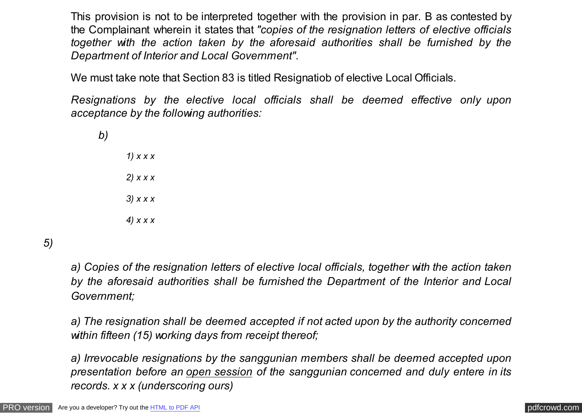This provision is not to be interpreted together with the provision in par. B as contested by the Complainant wherein it states that *"copies of the resignation letters of elective officials together with the action taken by the aforesaid authorities shall be furnished by the Department of Interior and Local Government".*

We must take note that Section 83 is titled Resignatiob of elective Local Officials.

*Resignations by the elective local officials shall be deemed effective only upon acceptance by the following authorities:*

*b)*

*1) x x x 2) x x x 3) x x x 4) x x x*

*5)*

*a) Copies of the resignation letters of elective local officials, together with the action taken by the aforesaid authorities shall be furnished the Department of the Interior and Local Government;*

*a) The resignation shall be deemed accepted if not acted upon by the authority concerned within fifteen (15) working days from receipt thereof;*

*a) Irrevocable resignations by the sanggunian members shall be deemed accepted upon presentation before an open session of the sanggunian concerned and duly entere in its records. x x x (underscoring ours)*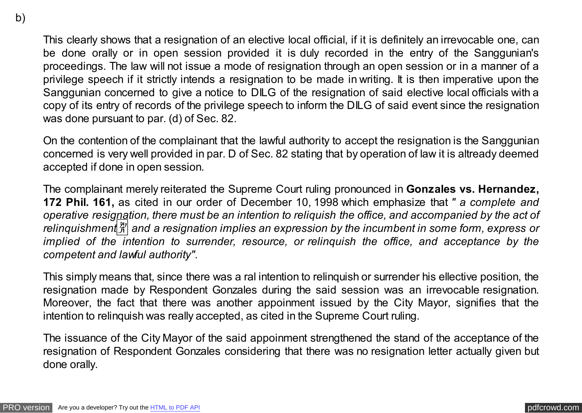b)

This clearly shows that a resignation of an elective local official, if it is definitely an irrevocable one, can be done orally or in open session provided it is duly recorded in the entry of the Sanggunian's proceedings. The law will not issue a mode of resignation through an open session or in a manner of a privilege speech if it strictly intends a resignation to be made in writing. It is then imperative upon the Sanggunian concerned to give a notice to DILG of the resignation of said elective local officials with a copy of its entry of records of the privilege speech to inform the DILG of said event since the resignation was done pursuant to par. (d) of Sec. 82.

On the contention of the complainant that the lawful authority to accept the resignation is the Sanggunian concerned is very well provided in par. D of Sec. 82 stating that by operation of law it is altready deemed accepted if done in open session.

The complainant merely reiterated the Supreme Court ruling pronounced in **Gonzales vs. Hernandez, 172 Phil. 161,** as cited in our order of December 10, 1998 which emphasize that *" a complete and operative resignation, there must be an intention to reliquish the office, and accompanied by the act of* relinquishment<sup>[2]</sup> and a resignation implies an expression by the incumbent in some form, express or *implied of the intention to surrender, resource, or relinquish the office, and acceptance by the competent and lawful authority".*

This simply means that, since there was a ral intention to relinquish or surrender his ellective position, the resignation made by Respondent Gonzales during the said session was an irrevocable resignation. Moreover, the fact that there was another appoinment issued by the City Mayor, signifies that the intention to relinquish was really accepted, as cited in the Supreme Court ruling.

The issuance of the City Mayor of the said appoinment strengthened the stand of the acceptance of the resignation of Respondent Gonzales considering that there was no resignation letter actually given but done orally.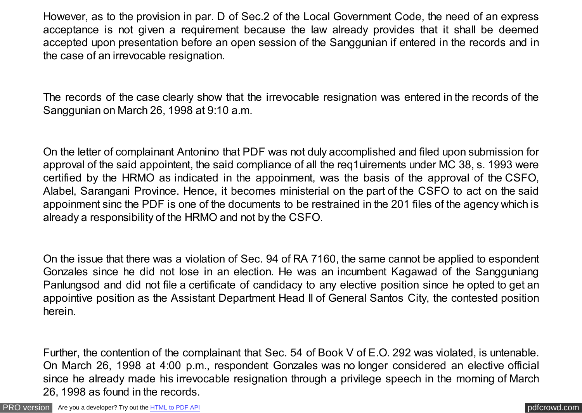However, as to the provision in par. D of Sec.2 of the Local Government Code, the need of an express acceptance is not given a requirement because the law already provides that it shall be deemed accepted upon presentation before an open session of the Sanggunian if entered in the records and in the case of an irrevocable resignation.

The records of the case clearly show that the irrevocable resignation was entered in the records of the Sanggunian on March 26, 1998 at 9:10 a.m.

On the letter of complainant Antonino that PDF was not duly accomplished and filed upon submission for approval of the said appointent, the said compliance of all the req1uirements under MC 38, s. 1993 were certified by the HRMO as indicated in the appoinment, was the basis of the approval of the CSFO, Alabel, Sarangani Province. Hence, it becomes ministerial on the part of the CSFO to act on the said appoinment sinc the PDF is one of the documents to be restrained in the 201 files of the agency which is already a responsibility of the HRMO and not by the CSFO.

On the issue that there was a violation of Sec. 94 of RA 7160, the same cannot be applied to espondent Gonzales since he did not lose in an election. He was an incumbent Kagawad of the Sangguniang Panlungsod and did not file a certificate of candidacy to any elective position since he opted to get an appointive position as the Assistant Department Head II of General Santos City, the contested position herein.

Further, the contention of the complainant that Sec. 54 of Book V of E.O. 292 was violated, is untenable. On March 26, 1998 at 4:00 p.m., respondent Gonzales was no longer considered an elective official since he already made his irrevocable resignation through a privilege speech in the morning of March 26, 1998 as found in the records.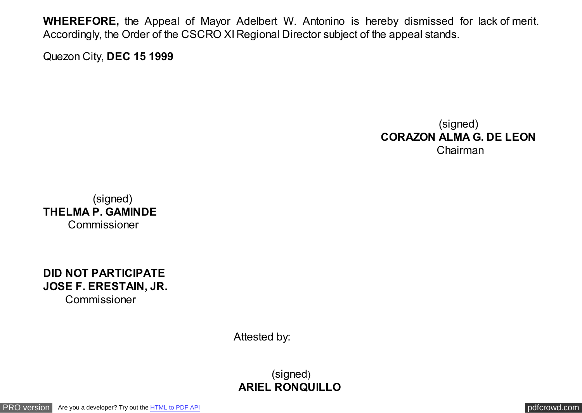**WHEREFORE,** the Appeal of Mayor Adelbert W. Antonino is hereby dismissed for lack of merit. Accordingly, the Order of the CSCRO XI Regional Director subject of the appeal stands.

Quezon City, **DEC 15 1999**

(signed) **CORAZON ALMA G. DE LEON** Chairman

 (signed) **THELMA P. GAMINDE**  Commissioner

**DID NOT PARTICIPATE JOSE F. ERESTAIN, JR. Commissioner** 

Attested by:

(signed) **ARIEL RONQUILLO**